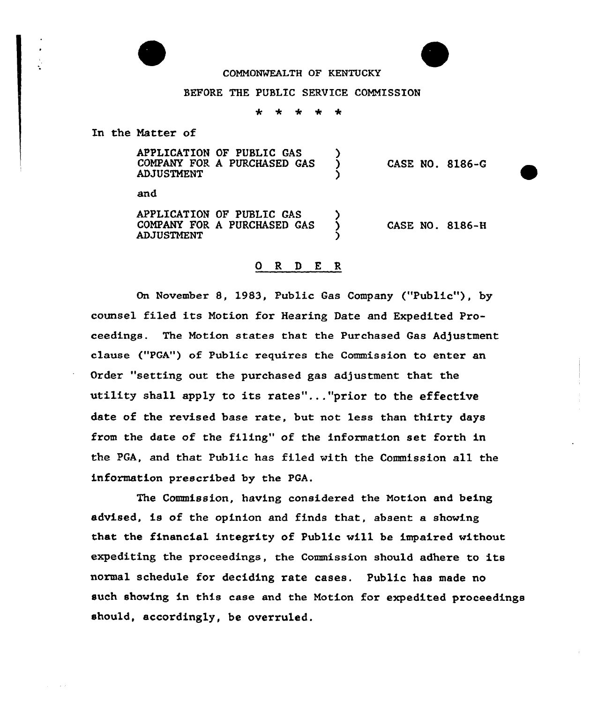

## COMMONWEALTH OF KENTUCKY

## BEFORE THE PUBLIC SERVICE COMMISSION

\* <sup>+</sup> \* \*  $\star$ 

In the Matter of

APPLICATION OF PUBLIC GAS (2001)<br>COMPANY FOR A PURCHASED GAS COMPANY FOR <sup>A</sup> PURCHASED GAS ) **ADJUSTMENT** CASE NO. 8186-Q

and

APPLICATION OF PUBLIC GAS ) COMPANY FOR A PURCHASED GAS **ADJUSTMENT** CASE NO. 8186-8

## 0 R <sup>D</sup> E R

On November 8, 1983, Public Gas Company ("Public"), by counsel filed its Motion for Hearing Date and Expedited Proceedings. The Motion states that the Purchased Gas Adjustment clause ("PGA") of Public xequires the Commission to entex an Order "setting out the purchased gas adjustment that the utility shall apply to its rates"..."prior to the effective date of the revised base rate, but not less than thirty days from the date of the filing" of the information set foxth in the PGA, and that Public has filed with the Commission all the information prescribed by the PGA.

The Commission, having considered the Motion and being advised, is of the opinion and finds that, absent a showing that the financial integrity of Public vill be impaired vithout expediting the proceedings, the Commission should adhere to its normal schedule for deciding rate cases. Public has made no such showing in this case and the Motion for expedited proceedings should, accordingly, be overruled.